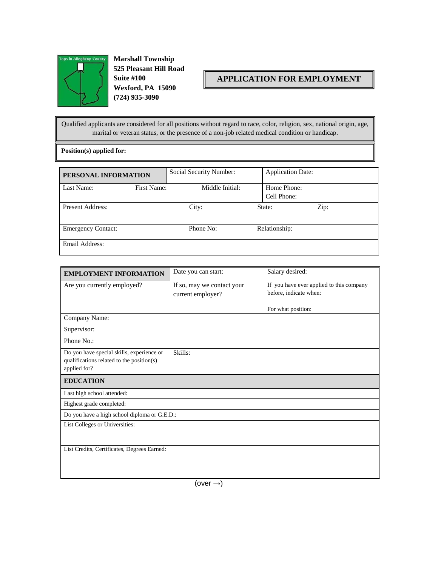

**Marshall Township**<br> **Marshall Township 525 Pleasant Hill Road Suite #100 Wexford, PA 15090 (724) 935-3090**

## **APPLICATION FOR EMPLOYMENT**

Qualified applicants are considered for all positions without regard to race, color, religion, sex, national origin, age, marital or veteran status, or the presence of a non-job related medical condition or handicap.

**Position(s) applied for:**

| PERSONAL INFORMATION      |             | Social Security Number: |  | <b>Application Date:</b>   |  |
|---------------------------|-------------|-------------------------|--|----------------------------|--|
| Last Name:                | First Name: | Middle Initial:         |  | Home Phone:<br>Cell Phone: |  |
|                           |             |                         |  |                            |  |
| Present Address:          |             | City:                   |  | Zip:<br>State:             |  |
| <b>Emergency Contact:</b> |             | Phone No:               |  | Relationship:              |  |
| Email Address:            |             |                         |  |                            |  |

| Date you can start:                                                    | Salary desired:        |  |  |  |  |
|------------------------------------------------------------------------|------------------------|--|--|--|--|
| If you have ever applied to this company<br>If so, may we contact your |                        |  |  |  |  |
| current employer?                                                      | before, indicate when: |  |  |  |  |
|                                                                        | For what position:     |  |  |  |  |
| Company Name:                                                          |                        |  |  |  |  |
| Supervisor:                                                            |                        |  |  |  |  |
| Phone No.:                                                             |                        |  |  |  |  |
| Skills:                                                                |                        |  |  |  |  |
| qualifications related to the position(s)<br>applied for?              |                        |  |  |  |  |
|                                                                        |                        |  |  |  |  |
|                                                                        |                        |  |  |  |  |
|                                                                        |                        |  |  |  |  |
| Highest grade completed:                                               |                        |  |  |  |  |
| Do you have a high school diploma or G.E.D.:                           |                        |  |  |  |  |
| List Colleges or Universities:                                         |                        |  |  |  |  |
|                                                                        |                        |  |  |  |  |
| List Credits, Certificates, Degrees Earned:                            |                        |  |  |  |  |
|                                                                        |                        |  |  |  |  |
|                                                                        |                        |  |  |  |  |
|                                                                        |                        |  |  |  |  |